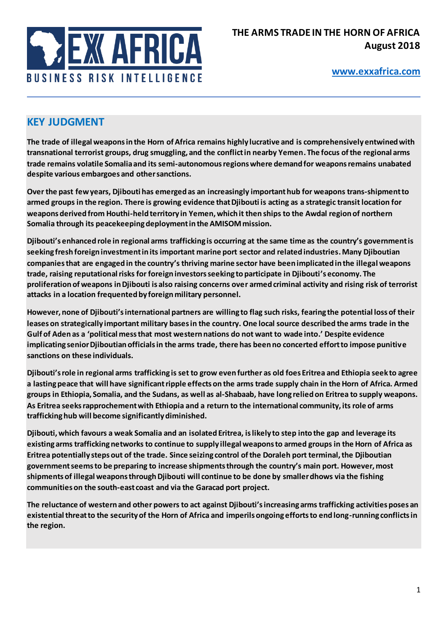

# **KEY JUDGMENT**

**The trade of illegal weapons in the Horn of Africa remains highly lucrative and is comprehensively entwined with transnational terrorist groups, drug smuggling, and the conflict in nearby Yemen. The focus of the regional arms trade remains volatile Somalia and its semi-autonomous regions where demand for weapons remains unabated despite various embargoes and other sanctions.** 

**Over the past few years, Djibouti has emerged as an increasingly importanthub for weapons trans-shipment to armed groups in the region. There is growing evidence that Djibouti is acting as a strategic transit location for weapons derived from Houthi-held territory in Yemen, which it then ships to the Awdal region of northern Somalia through its peacekeeping deployment in the AMISOM mission.**

**Djibouti's enhanced role in regional arms trafficking is occurring at the same time as the country's government is seeking fresh foreign investment in its important marine port sector and related industries. Many Djiboutian companiesthat are engaged in the country's thriving marine sector have been implicated in the illegal weapons trade, raising reputationalrisks for foreign investors seeking to participate in Djibouti's economy. The proliferation of weapons in Djibouti is also raising concerns over armed criminal activity and rising risk of terrorist attacks in a location frequented by foreign military personnel.** 

**However, none of Djibouti's international partners are willing to flag such risks, fearing the potential loss of their leases on strategically important military bases in the country. One local source described the arms trade in the Gulf of Aden as a 'political mess that most western nations do not want to wade into.' Despite evidence implicating senior Djiboutian officials in the arms trade, there has been no concerted effort to impose punitive sanctions on these individuals.** 

**Djibouti's role in regional arms trafficking is set to grow even further as old foes Eritrea and Ethiopia seek to agree a lasting peace that will have significant ripple effects on the arms trade supply chain in the Horn of Africa. Armed groups in Ethiopia, Somalia, and the Sudans, as well as al-Shabaab, have long relied on Eritrea to supply weapons. As Eritrea seeks rapprochement with Ethiopia and a return to the international community, its role of arms trafficking hub will become significantly diminished.** 

**Djibouti, which favours a weak Somalia and an isolated Eritrea, is likely to step into the gap and leverage its existing arms trafficking networks to continue to supply illegal weapons to armed groups in the Horn of Africa as Eritrea potentially steps out of the trade. Since seizing control of the Doraleh port terminal, the Djiboutian government seems to be preparing to increase shipments through the country's main port. However, most shipments of illegal weapons through Djibouti will continue to be done by smaller dhows via the fishing communities on the south-east coast and via the Garacad port project.**

**The reluctance of western and other powers to act against Djibouti's increasing arms trafficking activities poses an existential threat to the security of the Horn of Africa and imperils ongoing efforts to end long-running conflicts in the region.**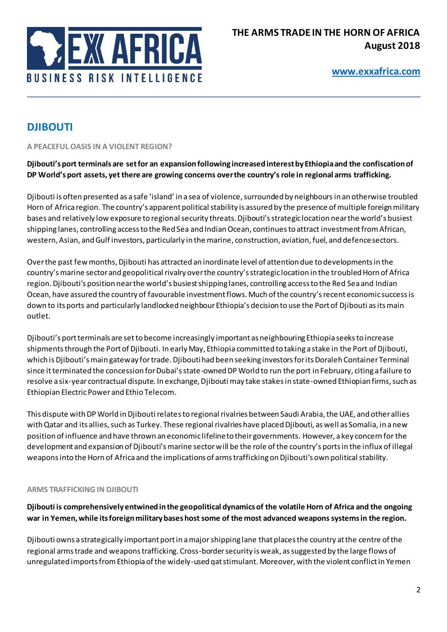

# **DJIBOUTI**

**A PEACEFUL OASIS IN A VIOLENT REGION?** 

### **Djibouti's port terminals are set for an expansion following increased interest by Ethiopia and the confiscation of DP World's port assets, yet there are growing concerns over the country's role in regional arms trafficking.**

Djibouti is often presented as a safe 'island' in a sea of violence, surrounded by neighbours in an otherwise troubled Horn of Africa region. The country's apparent political stability is assured by the presence of multiple foreign military bases and relatively low exposure to regional security threats. Djibouti's strategic location near the world's busiest shipping lanes, controlling access to the Red Sea and Indian Ocean, continues to attract investment from African, western, Asian, and Gulf investors, particularly in the marine, construction, aviation, fuel, and defence sectors.

Over the past few months, Djibouti has attracted an inordinate level of attention due to developments in the country's marine sector and geopolitical rivalry over the country's strategic location in the troubled Horn of Africa region. Djibouti's position near the world's busiest shipping lanes, controlling access to the Red Sea and Indian Ocean, have assured the country of favourable investment flows. Much of the country's recent economic success is down to its ports and particularly landlocked neighbour Ethiopia's decision to use the Port of Djibouti as its main outlet.

Djibouti's port terminals are set to become increasingly important as neighbouring Ethiopia seeks to increase shipments through the Port of Djibouti. In early May, Ethiopia committed to taking a stake in the Port of Djibouti, which is Djibouti's main gateway for trade. Djibouti had been seeking investors for its Doraleh Container Terminal since it terminated the concession for Dubai's state-owned DP World to run the port in February, citing a failure to resolve a six-year contractual dispute. In exchange, Djibouti may take stakes in state-owned Ethiopian firms, such as Ethiopian Electric Power and Ethio Telecom.

This dispute with DP World in Djibouti relatesto regional rivalries between Saudi Arabia, the UAE, and other allies with Qatar and its allies, such as Turkey. These regional rivalries have placed Djibouti, as well as Somalia, in a new position of influence and have thrown an economic lifeline to their governments. However, a key concern for the development and expansion of Djibouti's marine sector will be the role of the country's ports in the influx of illegal weapons into the Horn of Africa and the implications of arms trafficking on Djibouti's own political stability.

#### **ARMS TRAFFICKING IN DJIBOUTI**

**Djibouti is comprehensively entwined in the geopolitical dynamics of the volatile Horn of Africa and the ongoing war in Yemen, while its foreign military bases host some of the most advanced weapons systems in the region.** 

Djibouti owns a strategically important port in a major shipping lane that places the country at the centre of the regional arms trade and weapons trafficking. Cross-border security is weak, as suggested by the large flows of unregulated imports from Ethiopia of the widely-used qat stimulant. Moreover, with the violent conflict in Yemen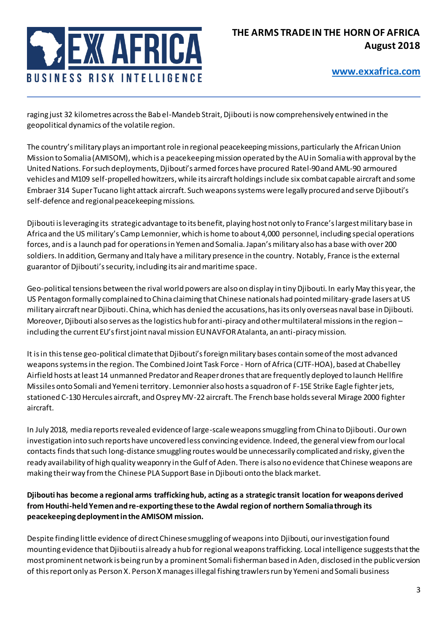

raging just 32 kilometres across the Bab el-Mandeb Strait, Djibouti is now comprehensively entwined in the geopolitical dynamics of the volatile region.

The country's military plays an important role in regional peacekeeping missions, particularly the African Union Mission to Somalia (AMISOM), which is a peacekeeping mission operated by the AU in Somalia with approval by the United Nations. For such deployments, Djibouti's armed forces have procured Ratel-90 and AML-90 armoured vehicles and M109 self-propelled howitzers, while its aircraft holdingsinclude six combat capable aircraft and some Embraer 314 Super Tucano light attack aircraft. Such weapons systems were legally procured and serve Djibouti's self-defence and regional peacekeeping missions.

Djibouti is leveraging its strategic advantage to its benefit, playing host not only to France's largest military base in Africa and the US military's Camp Lemonnier, which is home to about 4,000 personnel, including special operations forces, and is a launch pad for operations in Yemen and Somalia. Japan's military also has a base with over 200 soldiers. In addition, Germany and Italy have a military presence in the country. Notably, France is the external guarantor of Djibouti's security, including its air and maritime space.

Geo-political tensions between the rival world powers are also on display in tiny Djibouti. In early May this year, the US Pentagon formally complained to China claiming that Chinese nationals had pointed military-grade lasers at US military aircraft near Djibouti. China, which has denied the accusations, has its only overseas naval base in Djibouti. Moreover, Djibouti also serves as the logistics hub for anti-piracy and other multilateral missions in the region – including the current EU's first joint naval mission EU NAVFOR Atalanta, an anti-piracy mission.

It is in this tense geo-political climate that Djibouti's foreign military bases contain some of the most advanced weapons systems in the region. The Combined Joint Task Force - Horn of Africa (CJTF-HOA), based at Chabelley Airfield hosts at least 14 unmanned Predator and Reaper dronesthat are frequently deployed to launch Hellfire Missiles onto Somali and Yemeni territory. Lemonnier also hosts a squadron of F-15E Strike Eagle fighterjets, stationed C-130 Hercules aircraft, and Osprey MV-22 aircraft. The French base holds several Mirage 2000 fighter aircraft.

In July 2018, media reports revealed evidence of large-scale weapons smuggling from China to Djibouti. Our own investigation into such reports have uncovered less convincing evidence. Indeed, the general view from our local contacts finds that such long-distance smuggling routes would be unnecessarily complicated and risky, given the ready availability of high quality weaponry in the Gulf of Aden. There is also no evidence that Chinese weapons are making their way from the Chinese PLA Support Base in Djibouti onto the black market.

### **Djibouti has become a regional arms trafficking hub, acting as a strategic transit location for weapons derived from Houthi-held Yemen and re-exporting these to the Awdal region of northern Somalia through its peacekeeping deployment in the AMISOM mission.**

Despite finding little evidence of direct Chinese smuggling of weapons into Djibouti, our investigation found mounting evidence that Djibouti is already a hub for regional weapons trafficking. Local intelligence suggests that the most prominent network is being run by a prominent Somali fisherman based in Aden, disclosed in the public version of this report only as Person X. Person X manages illegal fishing trawlers run by Yemeni and Somali business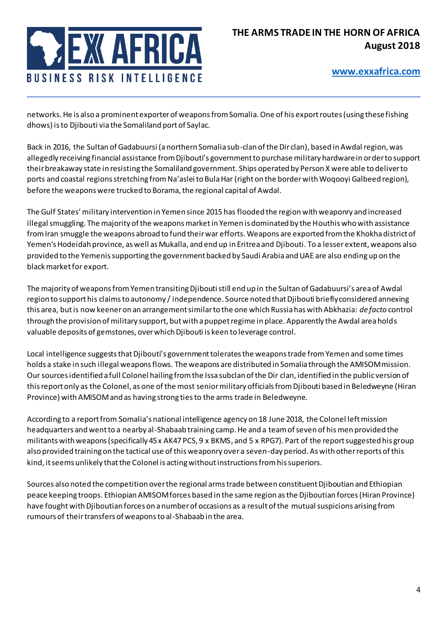

networks. He is also a prominent exporter of weapons from Somalia. One of his export routes (using these fishing dhows) is to Djibouti via the Somaliland port of Saylac.

Back in 2016, the Sultan of Gadabuursi (a northern Somalia sub-clan of the Dir clan), based in Awdal region, was allegedly receiving financial assistance from Djibouti's government to purchase military hardware in order to support their breakaway state in resisting the Somaliland government. Ships operated by Person X were able to deliver to ports and coastal regions stretching from Na'aslei to Bula Har (right on the border with Woqooyi Galbeed region), before the weapons were trucked to Borama, the regional capital of Awdal.

The Gulf States' military intervention in Yemen since 2015 has flooded the region with weaponry and increased illegal smuggling. The majority of the weapons market in Yemen is dominated by the Houthis who with assistance from Iran smuggle the weapons abroad to fund their war efforts. Weapons are exported from the Khokha district of Yemen's Hodeidah province, as well as Mukalla, and end up in Eritrea and Djibouti. To a lesser extent, weapons also provided to the Yemenis supporting the government backed by Saudi Arabia and UAE are also ending up on the black market for export.

The majority of weapons from Yemen transiting Djibouti still end up in the Sultan of Gadabuursi's area of Awdal region to support his claims to autonomy / independence. Source noted that Djibouti briefly considered annexing this area, but is now keener on an arrangement similar to the one which Russia has with Abkhazia: *de facto* control through the provision of military support, but with a puppet regime in place. Apparently the Awdal area holds valuable deposits of gemstones, over which Djibouti is keen to leverage control.

Local intelligence suggests that Djibouti's government tolerates the weapons trade from Yemen and some times holds a stake in such illegal weapons flows. The weapons are distributed in Somalia through the AMISOM mission. Our sources identified a full Colonel hailing from the Issa subclan of the Dir clan, identified in the public version of this report only as the Colonel, as one of the most senior military officials from Djibouti based in Beledweyne (Hiran Province) with AMISOMand as having strong ties to the arms trade in Beledweyne.

According to a report from Somalia's national intelligence agency on 18 June 2018, the Colonel left mission headquarters and went to a nearby al-Shabaab training camp. He and a team of seven of his men provided the militants with weapons (specifically 45 x AK47 PCS, 9 x BKMS, and 5 x RPG7). Part of the report suggested his group also provided training on the tactical use of this weaponry over a seven-day period. As with other reports of this kind, it seems unlikely that the Colonel is acting without instructions from his superiors.

Sources also noted the competition over the regional arms trade between constituent Djiboutian and Ethiopian peace keeping troops. Ethiopian AMISOM forces based in the same region as the Djiboutian forces (Hiran Province) have fought with Djiboutian forces on a number of occasions as a result of the mutual suspicions arising from rumours of their transfers of weapons to al-Shabaab in the area.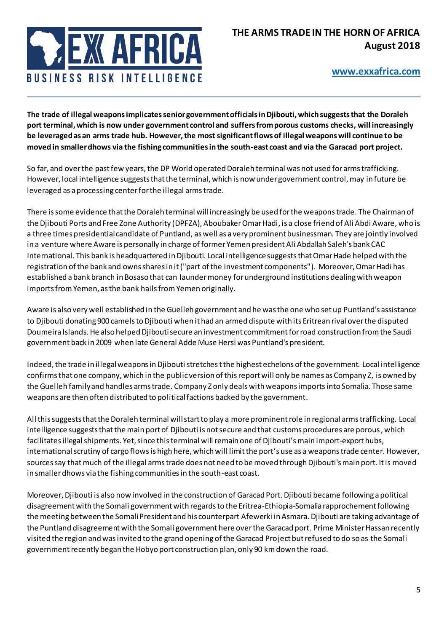

**The trade of illegal weapons implicates senior government officials in Djibouti, which suggests that the Doraleh port terminal, which is now under government control and suffers from porous customs checks, will increasingly be leveraged as an arms trade hub. However, the most significant flows of illegal weapons will continue to be moved in smaller dhows via the fishing communities in the south-east coast and via the Garacad port project.** 

So far, and over the past few years, the DP World operated Doraleh terminal was not used for arms trafficking. However, local intelligence suggests that the terminal, which is now under government control, may in future be leveraged as a processing center for the illegal arms trade.

There is some evidence that the Doraleh terminal will increasingly be used for the weapons trade. The Chairman of the Djibouti Ports and Free Zone Authority (DPFZA), Aboubaker Omar Hadi, is a close friend of Ali Abdi Aware, who is a three times presidential candidate of Puntland, as well as a very prominent businessman. They are jointly involved in a venture where Aware is personally in charge of former Yemen president Ali Abdallah Saleh's bank CAC International. This bank is headquartered in Djibouti. Local intelligence suggests that Omar Hade helped with the registration of the bank and owns shares in it ("part of the investment components"). Moreover, Omar Hadi has established a bank branch in Bosaso that can launder money for underground institutions dealing with weapon imports from Yemen, as the bank hails from Yemen originally.

Aware is also very well established in the Guelleh government and he was the one who set up Puntland's assistance to Djibouti donating 900 camels to Djibouti when it had an armed dispute with its Eritrean rival over the disputed Doumeira Islands. He also helped Djibouti secure an investment commitment for road construction from the Saudi government back in 2009 when late General Adde Muse Hersi was Puntland's president.

Indeed, the trade in illegal weapons in Djibouti stretches t the highest echelons of the government. Local intelligence confirms that one company, which in the public version of this report will only be names as Company Z, is owned by the Guelleh family and handles arms trade. Company Z only deals with weapons imports into Somalia. Those same weapons are then often distributed to political factions backed by the government.

All this suggests that the Doraleh terminal will start to play a more prominent role in regional arms trafficking. Local intelligence suggests that the main port of Djibouti is not secure and that customs procedures are porous, which facilitatesillegal shipments. Yet, since this terminal will remain one of Djibouti's main import-export hubs, international scrutiny of cargo flows is high here, which will limit the port's use as a weapons trade center. However, sources say that much of the illegal arms trade does not need to be moved through Djibouti's main port. It is moved in smaller dhows via the fishing communities in the south-east coast.

Moreover, Djibouti is also now involved in the construction of Garacad Port. Djibouti became following a political disagreement with the Somali government with regards to the Eritrea-Ethiopia-Somalia rapprochement following the meeting between the Somali President and his counterpart Afewerki in Asmara. Djibouti are taking advantage of the Puntland disagreement with the Somali government here over the Garacad port. Prime Minister Hassan recently visited the region and was invited to the grand opening of the Garacad Project but refused to do so as the Somali government recently began the Hobyo port construction plan, only 90 km down the road.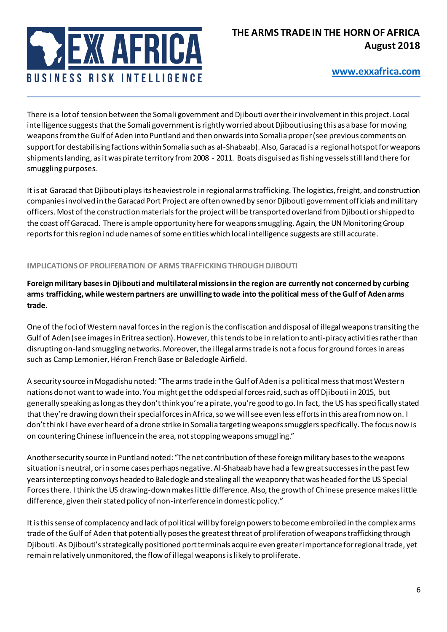

There is a lot of tension between the Somali government and Djibouti over their involvement in this project. Local intelligence suggests that the Somali government is rightly worried about Djibouti using this as a base for moving weapons from the Gulf of Aden into Puntland and then onwards into Somalia proper (see previous comments on support for destabilising factions within Somalia such as al-Shabaab). Also, Garacad is a regional hotspot for weapons shipments landing, as it was pirate territory from 2008 - 2011. Boats disguised as fishing vessels still land there for smuggling purposes.

It is at Garacad that Djibouti plays its heaviest role in regional armstrafficking. The logistics, freight, and construction companies involved in the Garacad Port Project are often owned by senor Djibouti government officials and military officers. Most of the construction materials for the project will be transported overland from Djibouti or shipped to the coast off Garacad. There is ample opportunity here for weapons smuggling. Again, the UN Monitoring Group reports for this region include names of some entities which local intelligence suggests are still accurate.

#### **IMPLICATIONS OF PROLIFERATION OF ARMS TRAFFICKING THROUGH DJIBOUTI**

**Foreign military bases in Djibouti and multilateral missions in the region are currently not concerned by curbing arms trafficking, while western partners are unwilling to wade into the political mess of the Gulf of Aden arms trade.** 

One of the foci of Western naval forces in the region is the confiscation and disposal of illegal weapons transiting the Gulf of Aden (see images in Eritrea section). However, this tends to be in relation to anti-piracy activities rather than disrupting on-land smuggling networks. Moreover, the illegal arms trade is not a focus for ground forces in areas such as Camp Lemonier, Héron French Base or Baledogle Airfield.

A security source in Mogadishu noted: "The arms trade in the Gulf of Aden is a political mess that most Western nations do not want to wade into. You might get the odd special forces raid, such as off Djibouti in 2015, but generally speaking as long as they don't think you're a pirate, you're good to go. In fact, the US has specifically stated that they're drawing down their special forces in Africa, so we will see even less efforts in this area from now on. I don't think I have ever heard of a drone strike in Somalia targeting weapons smugglers specifically. The focus now is on countering Chinese influence in the area, not stopping weapons smuggling."

Another security source in Puntland noted: "The net contribution of these foreign military bases to the weapons situation is neutral, or in some cases perhaps negative. Al-Shabaab have had a few great successes in the past few years intercepting convoys headed to Baledogle and stealing all the weaponry that was headed for the US Special Forces there. I think the US drawing-down makes little difference. Also, the growth of Chinese presence makes little difference, given their stated policy of non-interference in domestic policy."

It is this sense of complacency and lack of political will by foreign powers to become embroiled in the complex arms trade of the Gulf of Aden that potentially poses the greatest threat of proliferation of weapons trafficking through Djibouti. As Djibouti's strategically positioned port terminals acquire even greater importance for regional trade, yet remain relatively unmonitored, the flow of illegal weapons is likely to proliferate.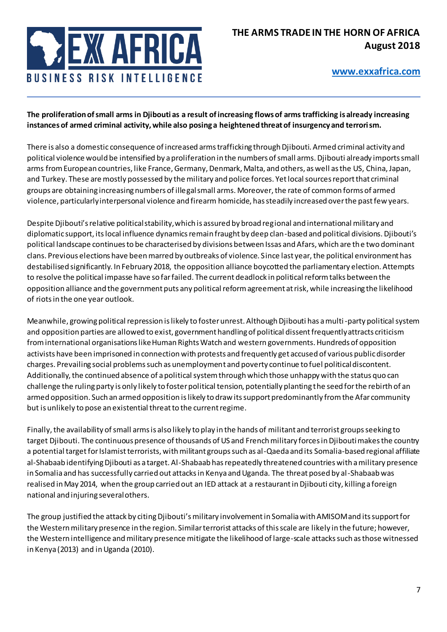

**The proliferation of small arms in Djibouti as a result of increasing flows of arms trafficking is already increasing instances of armed criminal activity, while also posing a heightened threat of insurgency and terrorism.** 

There is also a domestic consequence of increased arms trafficking through Djibouti. Armed criminal activity and political violence would be intensified by a proliferation in the numbers of small arms. Djibouti already imports small arms from European countries, like France, Germany, Denmark, Malta, and others, as well as the US, China, Japan, and Turkey. These are mostly possessed by the military and police forces. Yet local sources report that criminal groups are obtaining increasing numbers of illegal small arms. Moreover, the rate of common forms of armed violence, particularly interpersonal violence and firearm homicide, has steadily increased over the past few years.

Despite Djibouti's relative political stability, which is assured by broad regional and international military and diplomatic support, its local influence dynamics remain fraught by deep clan-based and political divisions. Djibouti's political landscape continues to be characterised by divisions between Issas and Afars, which are the two dominant clans. Previous elections have been marred by outbreaks of violence. Since last year,the political environment has destabilised significantly. In February 2018, the opposition alliance boycotted the parliamentary election. Attempts to resolve the political impasse have so far failed. The current deadlock in political reform talks between the opposition alliance and the government puts any political reform agreement at risk, while increasing the likelihood of riots in the one year outlook.

Meanwhile, growing political repression is likely to foster unrest. Although Djibouti has a multi-party political system and opposition parties are allowed to exist, government handling of political dissent frequently attracts criticism from international organisations like Human Rights Watch and western governments. Hundreds of opposition activists have been imprisoned in connection with protests and frequently get accused of various public disorder charges. Prevailing social problems such as unemployment and poverty continue to fuel political discontent. Additionally, the continued absence of a political system through which those unhappy with the status quo can challenge the ruling party is only likely to foster political tension, potentially planting the seed for the rebirth of an armed opposition. Such an armed opposition is likely to draw its support predominantly from the Afar community but is unlikely to pose an existential threat to the current regime.

Finally, the availability of small arms is also likely to play in the hands of militant and terrorist groups seeking to target Djibouti. The continuous presence of thousands of US and French military forces in Djibouti makes the country a potential target for Islamist terrorists, with militant groups such as al-Qaeda and its Somalia-based regional affiliate al-Shabaab identifying Djibouti as a target. Al-Shabaab has repeatedly threatened countries with a military presence in Somalia and has successfully carried out attacks in Kenya and Uganda. The threat posed by al-Shabaab was realised in May 2014, when the group carried out an IED attack at a restaurant in Djibouti city, killing a foreign national and injuring several others.

The group justified the attack by citing Djibouti's military involvement in Somalia with AMISOM and its support for the Western military presence in the region. Similar terrorist attacks of this scale are likely in the future; however, the Western intelligence and military presence mitigate the likelihood of large-scale attacks such as those witnessed in Kenya (2013) and in Uganda (2010).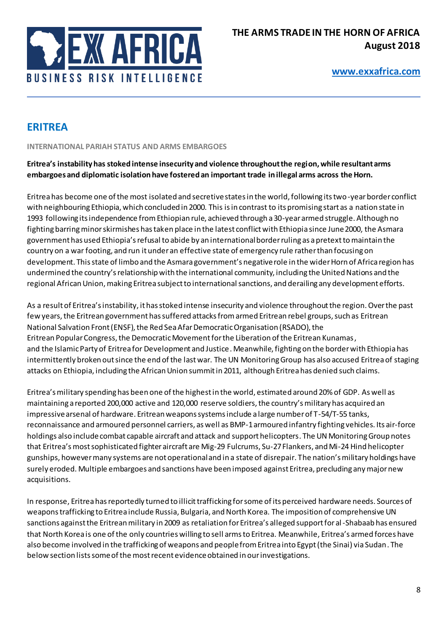

# **ERITREA**

**INTERNATIONAL PARIAH STATUS AND ARMS EMBARGOES** 

### **Eritrea's instability has stoked intense insecurity and violence throughout the region, while resultant arms embargoes and diplomatic isolation have fostered an important trade in illegal arms across the Horn.**

Eritrea has become one of the most isolated and secretive states in the world, following its two-year border conflict with neighbouring Ethiopia, which concluded in 2000. This is in contrast to its promising start as a nation state in 1993 following its independence from Ethiopian rule, achieved through a 30-year armed struggle. Although no fighting barring minor skirmishes has taken place in the latest conflict with Ethiopia since June 2000, the Asmara government has used Ethiopia's refusal to abide by an international border ruling as a pretext to maintain the country on a war footing, and run it under an effective state of emergency rule rather than focusing on development. This state of limbo and the Asmara government's negative role in the wider Horn of Africa region has undermined the country's relationship with the international community, including the United Nations and the regional African Union, making Eritrea subject to international sanctions, and derailing any development efforts.

As a result of Eritrea's instability, it has stoked intense insecurity and violence throughout the region. Over the past few years, the Eritrean government has suffered attacks from armed Eritrean rebel groups, such as Eritrean National Salvation Front (ENSF), the Red Sea Afar Democratic Organisation (RSADO), the Eritrean Popular Congress, the Democratic Movement for the Liberation of the Eritrean Kunamas, and the Islamic Party of Eritrea for Development and Justice. Meanwhile, fighting on the border with Ethiopia has intermittently broken out since the end of the last war. The UN Monitoring Group has also accused Eritrea of staging attacks on Ethiopia, including the African Union summit in 2011, although Eritrea has denied such claims.

Eritrea's military spending has been one of the highest in the world, estimated around 20% of GDP. As well as maintaining a reported 200,000 active and 120,000 reserve soldiers, the country's military has acquired an impressive arsenal of hardware. Eritrean weapons systems include a large number of T-54/T-55 tanks, reconnaissance and armoured personnel carriers, as well as BMP-1 armoured infantry fighting vehicles. Its air-force holdings also includecombat capable aircraft and attack and support helicopters. The UN Monitoring Group notes that Eritrea's most sophisticated fighter aircraft are Mig-29 Fulcrums, Su-27Flankers, and Mi-24 Hind helicopter gunships, however many systems are not operational and in a state of disrepair. The nation's military holdings have surely eroded. Multiple embargoes and sanctions have been imposed against Eritrea, precluding any major new acquisitions.

In response, Eritrea has reportedly turned to illicit trafficking for some of its perceived hardware needs. Sources of weapons trafficking to Eritrea include Russia, Bulgaria, and North Korea. The imposition of comprehensive UN sanctions against the Eritrean military in 2009 as retaliation for Eritrea's alleged support for al-Shabaab has ensured that North Korea is one of the only countries willing to sell arms to Eritrea. Meanwhile, Eritrea's armed forces have also become involved in the trafficking of weapons and people from Eritrea into Egypt (the Sinai) via Sudan. The below section lists some of the most recent evidence obtained in our investigations.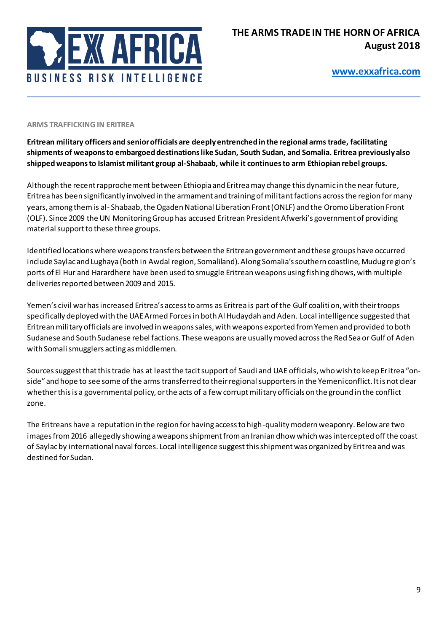

#### **ARMS TRAFFICKING IN ERITREA**

**Eritrean military officers and senior officials are deeply entrenched in the regional arms trade, facilitating shipments of weapons to embargoed destinations like Sudan, South Sudan, and Somalia. Eritrea previously also shipped weapons to Islamist militant group al-Shabaab, while it continues to arm Ethiopian rebel groups.** 

Although the recent rapprochement between Ethiopia and Eritrea may change this dynamic in the near future, Eritrea has been significantly involved in the armament and training of militant factions across the region for many years, among them is al- Shabaab, the Ogaden National Liberation Front (ONLF) and the Oromo Liberation Front (OLF). Since 2009 the UN Monitoring Group has accused Eritrean President Afwerki's government of providing material support to these three groups.

Identified locations where weapons transfers between the Eritrean government and these groups have occurred include Saylac and Lughaya (both in Awdal region, Somaliland). Along Somalia's southern coastline, Mudug re gion's ports of El Hur and Harardhere have been used to smuggle Eritrean weapons using fishing dhows, with multiple deliveries reported between 2009 and 2015.

Yemen's civil war has increased Eritrea's access to arms as Eritrea is part of the Gulf coalition, with their troops specifically deployed with the UAE Armed Forces in both Al Hudaydah and Aden. Local intelligence suggested that Eritrean military officials are involved in weapons sales, with weapons exported from Yemen and provided to both Sudanese and South Sudanese rebel factions. These weapons are usually moved across the Red Sea or Gulf of Aden with Somali smugglers acting as middlemen.

Sources suggest that this trade has at least the tacit support of Saudi and UAE officials, who wish to keep Eritrea "onside" and hope to see some of the arms transferred to their regional supporters in the Yemeni conflict. It is not clear whether this is a governmental policy, or the acts of a few corrupt military officials on the ground in the conflict zone.

The Eritreans have a reputation in the region for having access to high-quality modern weaponry. Below are two images from 2016 allegedly showing a weapons shipment from an Iranian dhow which was intercepted off the coast of Saylac by international naval forces. Local intelligence suggest this shipment was organized by Eritrea and was destined for Sudan.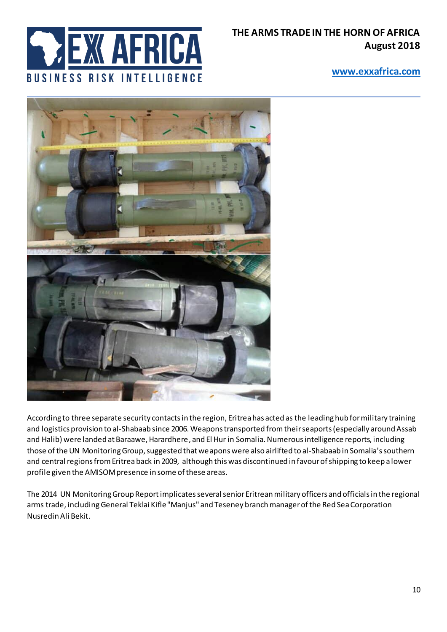

## **THE ARMS TRADE IN THE HORN OF AFRICA August 2018**

### **[www.exxafrica.com](http://www.exxafrica.com/)**



According to three separate security contacts in the region, Eritrea has acted as the leading hub for military training and logistics provision to al-Shabaab since 2006. Weapons transported from their seaports (especially around Assab and Halib) were landed at Baraawe, Harardhere, and El Hur in Somalia. Numerous intelligence reports, including those of the UN Monitoring Group, suggested that weapons were also airlifted to al-Shabaab in Somalia's southern and central regions from Eritrea back in 2009, although this was discontinued in favour of shipping to keep a lower profile given the AMISOM presence in some of these areas.

The 2014 UN Monitoring Group Reportimplicates several senior Eritrean military officers and officials in the regional arms trade, includingGeneral Teklai Kifle "Manjus" and Teseney branch manager of the Red Sea Corporation Nusredin Ali Bekit.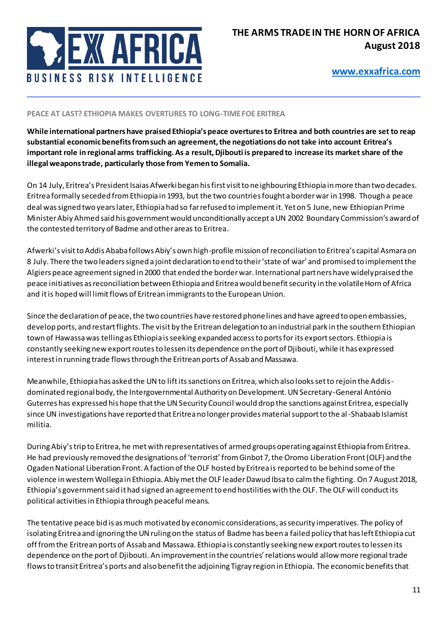

#### **PEACE AT LAST? ETHIOPIA MAKES OVERTURES TO LONG-TIME FOE ERITREA**

**While international partners have praised Ethiopia's peace overtures to Eritrea and both countries are set to reap substantial economic benefits from such an agreement, the negotiations do not take into account Eritrea's important role in regional arms trafficking. As a result, Djibouti is prepared to increase its market share of the illegal weapons trade, particularly those from Yemen to Somalia.** 

On 14 July, Eritrea's President Isaias Afwerki began his first visit to neighbouring Ethiopia in more than two decades. Eritrea formally seceded from Ethiopia in 1993, but the two countries fought a border war in 1998. Though a peace deal was signed two years later, Ethiopia had so far refused to implement it. Yet on 5 June, new Ethiopian Prime Minister Abiy Ahmed said his government would unconditionally accept a UN 2002 Boundary Commission's award of the contested territory of Badme and other areas to Eritrea.

Afwerki's visit to Addis Ababa follows Abiy's own high-profile mission of reconciliation to Eritrea's capital Asmara on 8 July. There the two leaders signed a joint declaration to end to their 'state of war' and promised to implement the Algiers peace agreement signed in 2000 that ended the border war. International partners have widely praised the peace initiatives as reconciliation between Ethiopia and Eritrea would benefit security in the volatile Horn of Africa and it is hoped will limit flows of Eritrean immigrants to the European Union.

Since the declaration of peace, the two countries have restored phone lines and have agreed to open embassies, develop ports, and restart flights. The visit by the Eritrean delegation to an industrial park in the southern Ethiopian town of Hawassa was telling as Ethiopia is seeking expanded access to ports for its export sectors. Ethiopia is constantly seeking new export routes to lessen its dependence on the port of Djibouti, while it has expressed interest in running trade flows through the Eritrean ports of Assab and Massawa.

Meanwhile, Ethiopia has asked the UN to lift its sanctions on Eritrea, which also looks set to rejoin the Addisdominated regional body, the Intergovernmental Authority on Development. UN Secretary-General António Guterres has expressed his hope that the UN Security Council would drop the sanctions against Eritrea, especially since UN investigations have reported that Eritrea no longer provides material support to the al-Shabaab Islamist militia.

During Abiy's trip to Eritrea, he met with representatives of armed groups operating against Ethiopia from Eritrea. He had previously removed the designations of 'terrorist' from Ginbot 7, the Oromo Liberation Front (OLF) and the Ogaden National Liberation Front. A faction of the OLF hosted by Eritrea is reported to be behind some of the violence in western Wollega in Ethiopia. Abiy met the OLF leader Dawud Ibsa to calm the fighting. On 7 August 2018, Ethiopia's government said it had signed an agreement to end hostilities with the OLF. The OLF will conduct its political activities in Ethiopia through peaceful means.

The tentative peace bid is as much motivated by economic considerations, as security imperatives. The policy of isolating Eritrea and ignoring the UN ruling on the status of Badme has been a failed policy that has left Ethiopia cut off from the Eritrean ports of Assab and Massawa. Ethiopia is constantly seeking new export routes to lessen its dependence on the port of Djibouti. An improvement in the countries' relations would allow more regional trade flows to transit Eritrea's ports and also benefit the adjoining Tigray region in Ethiopia. The economic benefits that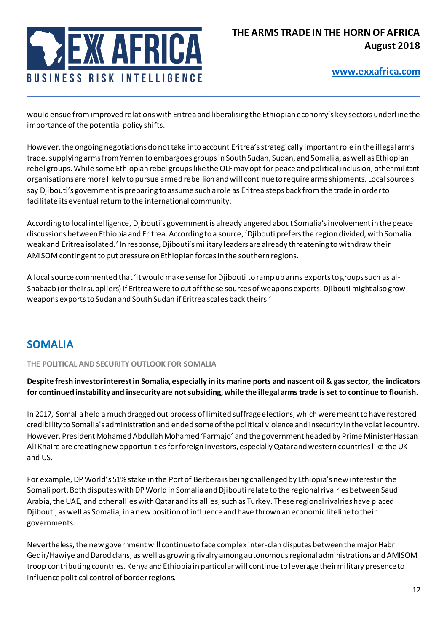

would ensue from improved relations with Eritrea and liberalising the Ethiopian economy's key sectors underl ine the importance of the potential policy shifts.

However, the ongoing negotiations do not take into account Eritrea's strategically important role in the illegal arms trade, supplying arms from Yemen to embargoes groups in South Sudan, Sudan, and Somali a, as well as Ethiopian rebel groups. While some Ethiopian rebel groups like the OLF may opt for peace and political inclusion, other militant organisations are more likely to pursue armed rebellion and will continue to require arms shipments. Local source s say Djibouti's government is preparing to assume such a role as Eritrea steps back from the trade in order to facilitate its eventual return to the international community.

According to local intelligence, Djibouti's government is already angered about Somalia's involvement in the peace discussions between Ethiopia and Eritrea. According to a source, 'Djibouti prefers the region divided, with Somalia weak and Eritrea isolated.' In response, Djibouti's military leaders are already threatening to withdraw their AMISOM contingent to put pressure on Ethiopian forces in the southern regions.

A local source commented that 'it would make sense for Djibouti to ramp up arms exports to groups such as al-Shabaab (or their suppliers) if Eritrea were to cut off these sources of weapons exports. Djibouti might also grow weapons exports to Sudan and South Sudan if Eritrea scales back theirs.'

# **SOMALIA**

**THE POLITICAL AND SECURITY OUTLOOK FOR SOMALIA** 

**Despite fresh investor interest in Somalia, especially in its marine ports and nascent oil & gas sector, the indicators for continued instability and insecurity are not subsiding, while the illegal arms trade is set to continue to flourish.** 

In 2017, Somalia held a much dragged out process of limited suffrage elections, which were meant to have restored credibility to Somalia's administration and ended some of the political violence and insecurity in the volatile country. However, President Mohamed Abdullah Mohamed 'Farmajo' and the government headed by Prime Minister Hassan Ali Khaire are creating new opportunities for foreign investors, especially Qatar and western countries like the UK and US.

For example, DP World's 51% stake in the Port of Berbera is being challenged by Ethiopia's new interest in the Somali port. Both disputes with DP World in Somalia and Djibouti relate to the regional rivalries between Saudi Arabia, the UAE, and other allies with Qatar and its allies, such as Turkey. These regional rivalries have placed Djibouti, as well as Somalia, in a new position of influence and have thrown an economic lifeline to their governments.

Nevertheless, the new government will continue to face complex inter-clan disputes between the major Habr Gedir/Hawiye and Darod clans, as well as growing rivalry among autonomous regional administrations and AMISOM troop contributing countries. Kenya and Ethiopia in particular will continue to leverage their military presence to influence political control of border regions.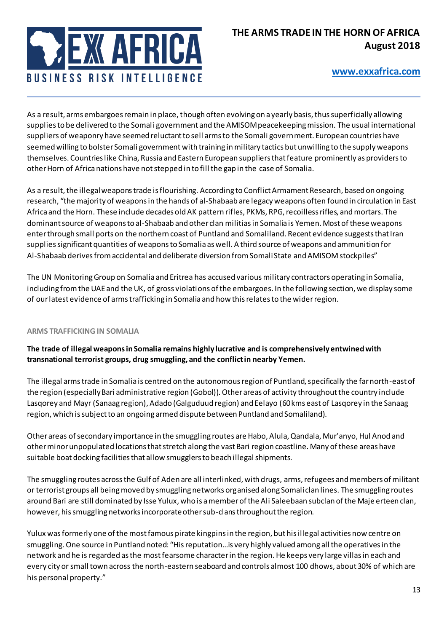

As a result, arms embargoes remain in place, though often evolving on a yearly basis, thus superficially allowing supplies to be delivered to the Somali government and the AMISOM peacekeeping mission. The usual international suppliers of weaponry have seemed reluctant to sell arms to the Somali government. European countries have seemed willing to bolster Somali government with training in military tactics but unwilling to the supply weapons themselves. Countries like China, Russia and Eastern European suppliers that feature prominently as providers to other Horn of Africa nations have not stepped in to fill the gap in the case of Somalia.

As a result, the illegal weapons trade is flourishing. According to Conflict Armament Research, based on ongoing research, "the majority of weapons in the hands of al-Shabaab are legacy weapons often found in circulation in East Africa and the Horn. These include decades old AK pattern rifles, PKMs, RPG, recoilless rifles, and mortars. The dominant source of weapons to al-Shabaab and other clan militias in Somalia is Yemen. Most of these weapons enter through small ports on the northern coast of Puntland and Somaliland. Recent evidence suggests that Iran supplies significant quantities of weapons to Somalia as well. A third source of weapons and ammunition for Al-Shabaab derives from accidental and deliberate diversion from Somali State and AMISOM stockpiles"

The UN Monitoring Group on Somalia and Eritrea has accused various military contractors operating in Somalia, including from the UAE and the UK, of gross violations of the embargoes. In the following section, we display some of our latest evidence of arms trafficking in Somalia and how this relates to the wider region.

#### **ARMS TRAFFICKING IN SOMALIA**

**The trade of illegal weapons in Somalia remains highly lucrative and is comprehensively entwined with transnational terrorist groups, drug smuggling, and the conflict in nearby Yemen.** 

The illegal arms trade in Somalia is centred on the autonomous region of Puntland, specifically the far north-east of the region (especially Bari administrative region (Gobol)). Other areas of activity throughout the country include Lasqorey and Mayr (Sanaag region), Adado (Galguduud region) and Eelayo (60 kms east of Lasqorey in the Sanaag region, which is subject to an ongoing armed dispute between Puntland and Somaliland).

Other areas of secondary importance in the smuggling routes are Habo, Alula, Qandala, Mur'anyo, Hul Anod and other minor unpopulated locations that stretch along the vast Bari region coastline. Many of these areas have suitable boat docking facilities that allow smugglers to beach illegal shipments.

The smuggling routes across the Gulf of Aden are all interlinked, with drugs, arms, refugees and members of militant or terrorist groups all being moved by smuggling networks organised along Somali clan lines. The smuggling routes around Bari are still dominated by Isse Yulux, who is a member of the Ali Saleebaan subclan of the Maje erteen clan, however, his smuggling networks incorporate other sub-clans throughout the region.

Yulux was formerly one of the most famous pirate kingpins in the region, but his illegal activities now centre on smuggling.One source in Puntland noted: "Hisreputation…is very highly valued among all the operatives in the network and he is regarded as the most fearsome character in the region. He keeps very large villas in each and every city or small town across the north-eastern seaboard and controls almost 100 dhows, about 30% of which are his personal property."